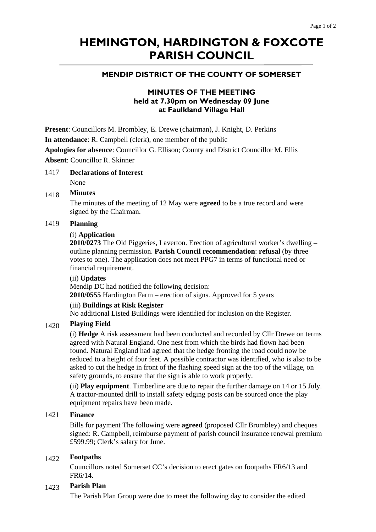# **HEMINGTON, HARDINGTON & FOXCOTE PARISH COUNCIL**

# **MENDIP DISTRICT OF THE COUNTY OF SOMERSET**

# **MINUTES OF THE MEETING held at 7.30pm on Wednesday 09 June at Faulkland Village Hall**

**Present**: Councillors M. Brombley, E. Drewe (chairman), J. Knight, D. Perkins

**In attendance**: R. Campbell (clerk), one member of the public

**Apologies for absence**: Councillor G. Ellison; County and District Councillor M. Ellis **Absent**: Councillor R. Skinner

1417 **Declarations of Interest** 

None

#### 1418 **Minutes**

The minutes of the meeting of 12 May were **agreed** to be a true record and were signed by the Chairman.

#### 1419 **Planning**

#### (i) **Application**

**2010/0273** The Old Piggeries, Laverton. Erection of agricultural worker's dwelling – outline planning permission. **Parish Council recommendation**: **refusal** (by three votes to one). The application does not meet PPG7 in terms of functional need or financial requirement.

#### (ii) **Updates**

Mendip DC had notified the following decision: **2010/0555** Hardington Farm – erection of signs. Approved for 5 years

#### (iii) **Buildings at Risk Register**

No additional Listed Buildings were identified for inclusion on the Register.

## 1420 **Playing Field**

(i) **Hedge** A risk assessment had been conducted and recorded by Cllr Drewe on terms agreed with Natural England. One nest from which the birds had flown had been found. Natural England had agreed that the hedge fronting the road could now be reduced to a height of four feet. A possible contractor was identified, who is also to be asked to cut the hedge in front of the flashing speed sign at the top of the village, on safety grounds, to ensure that the sign is able to work properly.

(ii) **Play equipment**. Timberline are due to repair the further damage on 14 or 15 July. A tractor-mounted drill to install safety edging posts can be sourced once the play equipment repairs have been made.

#### 1421 **Finance**

Bills for payment The following were **agreed** (proposed Cllr Brombley) and cheques signed: R. Campbell, reimburse payment of parish council insurance renewal premium £599.99; Clerk's salary for June.

## 1422 **Footpaths**

Councillors noted Somerset CC's decision to erect gates on footpaths FR6/13 and FR6/14.

## 1423 **Parish Plan**

The Parish Plan Group were due to meet the following day to consider the edited